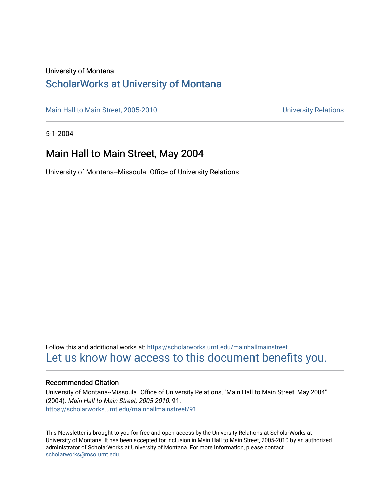#### University of Montana

## [ScholarWorks at University of Montana](https://scholarworks.umt.edu/)

[Main Hall to Main Street, 2005-2010](https://scholarworks.umt.edu/mainhallmainstreet) Main Hall to Main Street, 2005-2010

5-1-2004

## Main Hall to Main Street, May 2004

University of Montana--Missoula. Office of University Relations

Follow this and additional works at: [https://scholarworks.umt.edu/mainhallmainstreet](https://scholarworks.umt.edu/mainhallmainstreet?utm_source=scholarworks.umt.edu%2Fmainhallmainstreet%2F91&utm_medium=PDF&utm_campaign=PDFCoverPages) [Let us know how access to this document benefits you.](https://goo.gl/forms/s2rGfXOLzz71qgsB2) 

#### Recommended Citation

University of Montana--Missoula. Office of University Relations, "Main Hall to Main Street, May 2004" (2004). Main Hall to Main Street, 2005-2010. 91. [https://scholarworks.umt.edu/mainhallmainstreet/91](https://scholarworks.umt.edu/mainhallmainstreet/91?utm_source=scholarworks.umt.edu%2Fmainhallmainstreet%2F91&utm_medium=PDF&utm_campaign=PDFCoverPages) 

This Newsletter is brought to you for free and open access by the University Relations at ScholarWorks at University of Montana. It has been accepted for inclusion in Main Hall to Main Street, 2005-2010 by an authorized administrator of ScholarWorks at University of Montana. For more information, please contact [scholarworks@mso.umt.edu.](mailto:scholarworks@mso.umt.edu)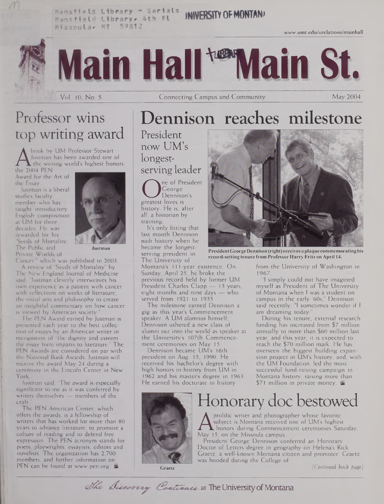**Mansfi eId JNNERSTV OFMONTAN\*** Mansfield Library, 4th FL **Hissoula, MT 59812** 

[www.umt.edu/urelations/mainhall](http://www.umt.edu/urelations/mainhall)



Dennison reaches milestone

# Professor wins top writing award

A Justman<br>the 2004 PEN<br>Award for the book by UM Professor Stewart Justman has been awarded one of  $\blacktriangle$  the writing world's highest honors:

Award for the Art of the Essay.

Justman is a liberal studies faculty member who has taught introductory English composition at UM for three decades. He was rewarded for his Seeds of Mortality: The Public and Private Worlds of



**Justman**

Cancer," which was published in 2003. A review of "Seeds of Mortality" by The New England Journal of Medicine

said, "Justman cleverly interweaves his own experience as a patient with cancer with reflections on works of literature, the visual arts and philosophy to create an insightful commentary on how cancer is viewed by American society.

The PEN Award earned by Justman is presented each year to the best collection of essays by an American writer in recognition of "the dignity and esteem the essay form imparts to literature." The PEN Awards are considered on par with the National Book Awards. Justman will receive the award May 24 during a ceremony in the Lincoln Center in New York.

Justman said, 'The award is especially significant to me as it was conferred by writers themselves — members of the craft."

The PEN American Center, which offers the awards, is a fellowship of writers that has worked for more than 80 years to advance literature, to promote a culture of reading and to defend free expression. The PEN acronym stands for poets, playwrights, essayists, editors and novelists. The organization has 2,700 members, and further information on PEN can be found at [www.pen.org](http://www.pen.org). &

## now UM's longestserving leader ne of President

Ceorge<br>
Denniso<br>
Secret loves is<br>
history. He is a George Dennison's history. He is, after all, a historian by training.

President

It's only fitting that last month Dennison *made* history when he became the longestserving president in The University of

Montana's 111 -year existence. On Sunday, April 25, he broke the previous record held by former UM President Charles Clapp - 13 years, eight months and nine days — who served from 1921 to 1935.

The milestone earned Dennison a gig as this year's Commencement speaker. A UM alumnus himself, Dennison ushered a new class of alumni out into the world as speaker at the University's 107th Commencement ceremonies on May 15.

Dennison became UM's 16th president on Aug. 15, 1990. He received his bachelor's degree with high honors in history from UM in 1962 and his master's degree in 1963. He earned his doctorate in history



**PresidentGeorgeDennison (right) receives a plaque commemoratinghis record-setting tenure from Professor Harry Fritz on April 14.**

from the University of Washington in 1967.

"I simply could not have imagined myself as President of The University of Montana when <sup>I</sup> was a student on campus in the early '60s," Dennison said recently. "1 sometimes wonder if <sup>I</sup> am dreaming today."

During his tenure, external research funding has increased from \$7 million annually to more than \$60 million last year, and this year, it is expected to reach the \$70 million mark. He has overseen the biggest building expansion project in UM's history, and, with the UM Foundation, led the most successful fund-raising campaign in Montana history, raising more than \$71 million in private money.  $\blacktriangleright$ 



# Honorary doc bestowed

A subject is Montana received one of<br>May 15, on the Missoula campus.<br>Bescident Gorgen Dominan prolific writer and photographer whose favorite subject is Montana received one of UM's highest honors during Commencement ceremonies Saturday,

President George Dennison conferred an Honorary Doctor of Letters degree in geography on Helena's Rick Graetz, a well-known Montana citizen and promoter. Graetz was hooded during the College of

**Graetz**

*(Continued back patfe)*

The Discarcry Continues at The University of Montana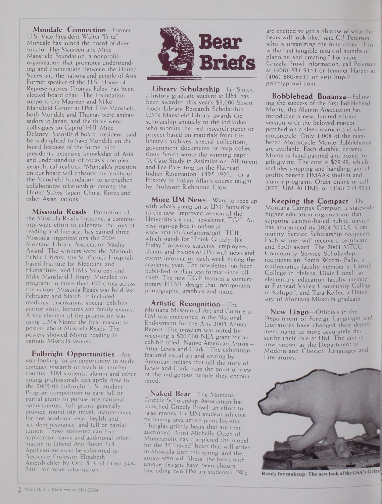**Mondale Connection—**Former U.S. Vice President Walter "Fritz" Mondale has joined the board of directors for The Maureen and Mike Mansfield Foundation, a nonprofit organization that promotes understanding and cooperation between the United States and the nations and people of Asia. Former speaker of the U.S. House of Representatives Thomas Foley has been elected board chair. The Foundation supports the Maureen and Mike Mansfield Center at UM. Like Mansfield, both Mondale and Thomas were ambassadors to Japan, and the three were colleagues on Capitol Hill. Mike Delaney, Mansfield board president, said he is delighted to have Mondale on the board because of the former vice president's extensive knowledge of Asia and understanding of today's complex geopolitical realities. "Mondale's position on our board will enhance the ability of the Mansfield Foundation to strengthen collaborative relationships among the United States, Japan, China, Korea and other Asian nations."

**Missoula Reads—**Promotion of the Missoula Reads Initiative, a community-wide effort to celebrate the joys of reading and literacy, has earned three Missoula organizations the 2004 Montana Library Association Media Award. The winners were the Missoula Public Library, the St. Patrick Hospitalbased Institute for Medicine and Humanities, and UM's Maureen and Mike Mansfield Library. Modeled on programs in more than 100 cities across the nation, Missoula Reads was held last February and March. It included readings, discussions, special exhibits, author visits, lectures and family events. A key element of the promotion was using UM's Monte the bear mascot in posters about Missoula Reads. The posters showed Monte reading in various Missoula venues.

**Fulbright Opportunities—**Are you looking for an opportunity to study, conduct research or teach in another country? UM students, alumni and other young professionals can apply now for the 2005-06 Fulbright U.S. Student Program competition to earn full or partial grants to pursue international opportunities. Full grants generally provide round-trip travel, maintenance for one academic year, health and accident insurance, and full or partial tuition. Those interested can find application forms and additional information in Liberal Arts Room 313. Applications must be submitted to Associate Professor Elizabeth Ametsbichler by Oct. 5. Call (406) 243- 2401 for more'information.



**Library Scholarship—**Ian Smith, a history graduate student at UM, has been awarded this year's \$3,000 Susan Koch Library Research Scholarship. UM's Mansfield Library awards the scholarship annually to the individual who submits the best research paper or project based on materials from the library's archives, special collections, government documents or map collections. Smith wrote the winning paper, "A Case Study in Assimilation: Allotment and Fee Patenting on the Flathead Indian Reservation, 1895-1920," for a History of Indian Affairs course taught by Professor Richmond Clow.

**More UM News—**Want to keep up with what's going on at UM? Subscribe to the new, improved version of the University's e-mail newsletter, TGIF. An easy sign-up box is online at [www.umt.edu/urelations/tgif](http://www.umt.edu/urelations/tgif). TGIF, which stands for "Think Grizzly, It's Friday," provides students, employees, alumni and friends of UM with news and events information each week during the academic year. The newsletter has been published in plain text format since fall 1999. The new TGIF features a contemporary HTML design that incorporates photographs, graphics and more.

**Artistic Recognition—**The Montana Museum of Art and Culture at UM was mentioned in the National Endowment for the Arts 2003 Annual Report. The museum was noted for receiving a \$20,000 NEA grant for an exhibit titled "Native American Artists — After Lewis and Clark." The exhibition featured visual art and writing by American Indians that tell the story of Lewis and Clark from the point of view of the indigenous people they encountered.

**Naked Bear—**The Montana Grizzly Scholarship Association has launched Grizzly Prowl, an effort to raise money for UM student-athletes by having area artists paint life-size, Fiberglas grizzly bears that are then auctioned. Artist Michelle Otten of Minneapolis has completed the model for the 35 naked bears that will arrive in Missoula later this spring, and the artists who will "dress" the bears with unique designs have been chosen (including two UM art students). "We

are excited to get a glimpse of what the bears will look like," said C.J. Peterson, who is organizing the fund-raiser. 'This is the first tangible result of months of planning and creating." For more Grizzly Prowl information, call Peterson at (406) 531-9444 or Jennifer Harper at (406) 880-6533 or visit http:// <grizzlyprowl.com>.

**Bobblehead Bonanza—**Following the success of the first Bobblehead Monte, the Alumni Association has introduced a new, limited edition version with the beloved mascot perched on a sleek maroon and silver motorcycle. Only 1,008 of the numbered Motorcycle Monte Bobbleheads are available. Each durable, ceramic Monte is hand-painted and boxed for gift-giving. The cost is \$29.99, which includes shipping and handling, and all profits benefit UMAA's student and alumni programs. Order online or call (877) UM ALUMS or (406) 243-5211

**Keeping the Compact—**The Montana Campus Compact, a statewide higher education organization that supports campus-based public service has announced its 2004 MTCC Community Service Scholarship recipients. Each winner will receive a certificate and \$500 award. The 2004 MTCC Community Service Scholarship recipients are Sarah Weems Pallis, a mathematics faculty member at Carroll College in Helena, Dixie Linnell, an elementary education faculty member at Flathead Valley Community College in Kalispell, and Tara Keller, a University of Montana-Missoula graduate.

**New Lingo—**Officials in the Department of Foreign Languages and Literatures have changed their department name to more accurately describe their role at UM. The unit is now known as the Department of Modern and Classical Languages and Literatures.



Ready for makeup: The new look of the GSA's Grizz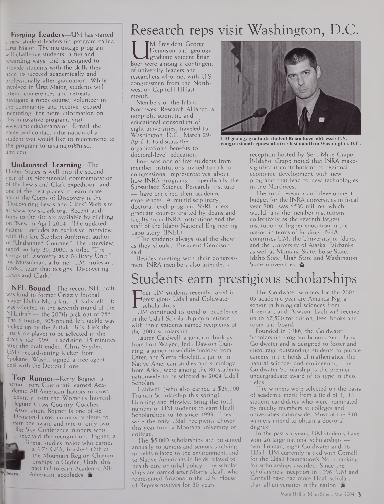**Forging Leaders—**UM has started a new student leadership program called Ursa Major. The multistage program will challenge students in fun and rewarding ways, and is designed to provide students with the skills they need to succeed academically and . professionally after graduation. While involved in Ursa Major, students will attend conferences and retreats, naviagate a ropes course, volunteer in the community and receive focused mentoring. For more information on this innovative program, visit <sup>I</sup> [www.umt.edu/ursamajor](http://www.umt.edu/ursamajor). E-mail the name and contact information of a student you would like to recommend to the program to ursamajor@mso. <umt.edu>.

**Undaunted Learning—**The United States is well into the second year of its bicentennial commemoration of the Lewis and Clark expedition, and one of the best places to learn more . about the Corps of Discovery is the Discovering Lewis and Clark" Web site at www.lewis-clark.org. Recent additions to the site are available by clicking on "New in April 2004." The updated material includes an exclusive interview with the late Stephen Ambrose, author of "Undaunted Courage." The interview, taped on July 20, 2000, is titled "The Corps of Discovery as a Military Unit." .' Joe Mussulman, a former UM professor, leads a team that designs "Discovering Lewis and Clark.

**NFL Bound—**The recent NFL draft was kind to former Grizzly football . player Dylan McFarland of Kalispell. He was selected in the seventh round of the  $NFL$  draft — the 207th pick out of 255. The 6-foot-6, 305-pound left tackle was » picked up by the Buffalo Bills. He's the first Griz player to be selected in the draft since 1999. In addition, 15 minutes after the draft ended, Chris Snyder, UM's record-setting kicker from Spokane, Wash., signed a free-agent deal with the Detroit Lions.

li **Top Runner—**Kerry Bogner, <sup>a</sup> senior from Cincinnati, earned Academic All-American honors in cross country from the Women's Intercollegiate Cross Country Coaches Association. Bogner is one of 46 Division-1 cross country athletes to earn the award and one of only two Big Sky Conference runners who received the recognition. Bogner, a



liberal studies major who carries a 3.74 GPA, finished 12th at the Mountain Region Championships in Ogden, Utah, this past fall to earn Academic All-American accolades.

# Research reps visit Washington, D.C.

Dennison and geology<br>
graduate student Brian<br>
Boer were among a contingent<br>
of university leaders and M President George Dennison and geology Lgraduate student Brian of university leaders and researchers who met with U.S. congressmen from the Northwest on Capitol Hill last month.

Members of the Inland Northwest Research Alliance, a nonprofit scientific and educational consortium of eight universities, traveled to Washington, D.C., March 29- April 1, to discuss the organization's benefits to doctoral-level education.

Boer was one of five students from member institutions invited to talk to congressional representatives about how INRA programs — specifically the Subsurface Science Research Institute have enriched their academic experiences. A multidisciplinary, doctoral-level program, SSRI offers graduate courses crafted by deans and faculty from INRA institutions and the staff of the Idaho National Engineering Laboratory (INEL).

"The students always steal the show, as they should," President Dennison said.

Besides meeting with their congressmen, INRA members also attended a



**UM geology graduate studentBrian Boer addresses U.S. congressional representativeslast month in Washington, D.C.**

reception hosted by Sen. Mike Crapo, R-Idaho. Crapo noted that INRA makes significant contributions to regional economic development with new programs that lead to new technologies in the Northwest.

The total research and development budget for the INRA universities in fiscal year 2001 was \$530 million, which would rank the member institutions collectively as the seventh largest institution of higher education in the nation in terms of funding. INRA comprises UM, the University of Idaho, and the University of Alaska, Fairbanks, as well as Montana State, Boise State, Idaho State, Utah State and Washington State universities. &

# Students earn prestigious scholarships

Ferestigious Guali and Goldwater<br>
EUM continued its trend of excellence<br>
UM continued its trend of excellence **OUT UM students recently raked in** prestigious Udall and Goldwater scholarships.

in the Udall Scholarship competition with three students named recipients of the 2004 scholarship.

Lauren Caldwell, a junior in biology from Fort Wayne, Ind., Dawson Dunning, a junior in wildlife biology from Otter, and Sierra Howlett, a junior in Native American studies and sociology from Arlee; were among the 80 students nationwide to be selected as 2004 Udall Scholars.

Caldwell (who also earned a \$26,000 Truman Scholarship this spring), Dunning and Howlett bring the total number of UM students to earn Udall Scholarships to 16 since 1999. They were the only Udall recipients chosen this year from a Montana university or college.

The \$5,000 scholarships are presented annually to juniors and seniors studying in fields related to the environment, and to Native Americans in fields related to health care or tribal policy. The scholarships are named after Morris Udall, who represented Arizona in the U.S. House of Representatives for 30 years.

The Goldwater winners for the 2004- 05 academic year are Amanda Ng, a senior in biological sciences from Bozeman, and Dawson. Each will receive up to \$7,500 for tuition, fees, books and room and board.

Founded in 1986, the Goldwater Scholarship Program honors Sen. Barry Goldwater and is designed to foster and encourage outstanding students to pursue careers in the fields of mathematics, the natural sciences and engineering. The Goldwater Scholarship is the premier undergraduate award of its type in these fields.

The winners were selected on the basis of academic merit from a field of 1,113 student candidates who were nominated by faculty members at colleges and universities nationwide. Most of the 310 winners intend to obtain a doctoral degree.

In the past six years, UM students have won 26 large national scholarships two Truman, eight Goldwater and 16 Udall. UM currently is tied with Cornell for the Udall Foundation's No. <sup>1</sup> ranking for scholarships awarded. Since the scholarship's inception in 1996, UM and Cornell have had more Udall scholars than all universities in the nation.  $\approx$